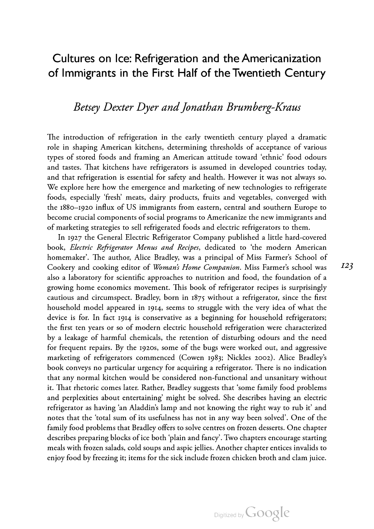# Cultures on Ice: Refrigeration and the Americanization of Immigrants in the First Half of the Twentieth Century

## Betsey Dexter Dyer and Jonathan Brumberg-Kraus

The introduction of refrigeration in the early twentieth century played a dramatic role in shaping American kitchens, determining thresholds of acceptance of various types of stored foods and framing an American attitude toward 'ethnic' food odours and tastes. That kitchens have refrigerators is assumed in developed countries today, and that refrigeration is essential for safety and health. However it was not always so. We explore here how the emergence and marketing of new technologies to refrigerate foods, especially 'fresh' meats, dairy products, fruits and vegetables, converged with the 1880–1920 influx of US immigrants from eastern, central and southern Europe to become crucial components of social programs to Americanize the new immigrants and of marketing strategies to sell refrigerated foods and electric refrigerators to them.

In 1927 the General Electric Refrigerator Company published a little hard-covered book, *Electric Refrigerator Menus and Recipes*, dedicated to 'the modern American homemaker'. The author, Alice Bradley, was a principal of Miss Farmer's School of Cookery and cooking editor of Woman's Home Companion. Miss Farmer's school was also a laboratory for scientific approaches to nutrition and food, the foundation of a growing home economics movement. This book of refrigerator recipes is surprisingly cautious and circumspect. Bradley, born in  $1875$  without a refrigerator, since the first household model appeared in 1914, seems to struggle with the very idea of what the device is for. In fact 1914 is conservative as a beginning for household refrigerators; the first ten years or so of modern electric household refrigeration were characterized by a leakage of harmful chemicals, the retention of disturbing odours and the need for frequent repairs. By the 1920s, some of the bugs were worked out, and aggressive marketing of refrigerators commenced (Cowen 1983; Nickles 2002). Alice Bradley's book conveys no particular urgency for acquiring a refrigerator. There is no indication that any normal kitchen would be considered non-functional and unsanitary without it. That rhetoric comes later. Rather, Bradley suggests that 'some family food problems and perplexities about entertaining' might be solved. She describes having an electric refrigerator as having 'an Aladdin's lamp and not knowing the right way to rub it' and notes that the 'total sum of its usefulness has not in any way been solved'. One of the family food problems that Bradley offers to solve centres on frozen desserts. One chapter describes preparing blocks of ice both 'plain and fancy'. Two chapters encourage starting meals with frozen salads, cold soups and aspic jellies. Another chapter entices invalids to enjoy food by freezing it; items for the sick include frozen chicken broth and clam juice.

 $I23$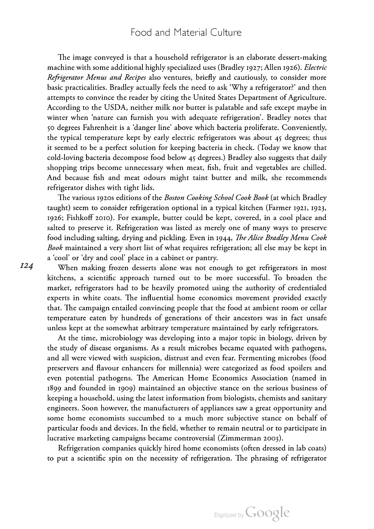#### Food and Material Culture

The image conveyed is that a household refrigerator is an elaborate dessert-making machine with some additional highly specialized uses (Bradley 1927; Allen 1926). Electric Refrigerator Menus and Recipes also ventures, briefly and cautiously, to consider more basic practicalities. Bradley actually feels the need to ask 'Why a refrigerator?' and then attempts to convince the reader by citing the United States Department of Agriculture. According to the USDA, neither milk nor butter is palatable and safe except maybe in winter when 'nature can furnish you with adequate refrigeration'. Bradley notes that 50 degrees Fahrenheit is a 'danger line' above which bacteria proliferate. Conveniently, the typical temperature kept by early electric refrigerators was about 45 degrees; thus it seemed to be <sup>a</sup> perfect solution for keeping bacteria in check. (Today we know that cold-loving bacteria decompose food below degrees.) Bradley also suggests that daily shopping trips become unnecessary when meat, fish, fruit and vegetables are chilled. And because fish and meat odours might taint butter and milk, she recommends refrigerator dishes with tight lids.

The various 1920s editions of the Boston Cooking School Cook Book (at which Bradley taught) seem to consider refrigeration optional in a typical kitchen (Farmer 1921, 1923, 1926; Fishkoff 2010). For example, butter could be kept, covered, in a cool place and salted to preserve it. Refrigeration was listed as merely one of many ways to preserve food including salting, drying and pickling. Even in 1944, The Alice Bradley Menu Cook Book maintained a very short list of what requires refrigeration; all else may be kept in <sup>a</sup> 'cool' or 'dry and cool' place in <sup>a</sup> cabinet or pantry. When making frozen desserts alone was not enough to get refrigerators in most

kitchens, <sup>a</sup> scientific approach turned out to be more successful. To broaden the market, refrigerators had to be heavily promoted using the authority of credentialed experts in white coats. The influential home economics movement provided exactly that. The campaign entailed convincing people that the food at ambient room or cellar temperature eaten by hundreds of generations of their ancestors was in fact unsafe unless kept at the somewhat arbitrary temperature maintained by early refrigerators.

At the time, microbiology was developing into a major topic in biology, driven by the study of disease organisms. As a result microbes became equated with pathogens, and all were viewed with suspicion, distrust and even fear. Fermenting microbes (food preservers and flavour enhancers for millennia) were categorized as food spoilers and even potential pathogens. The American Home Economics Association (named in 1899 and founded in 1909) maintained an objective stance on the serious business of keeping a household, using the latest information from biologists, chemists and sanitary engineers. Soon however, the manufacturers of appliances saw <sup>a</sup> great opportunity and some home economists succumbed to <sup>a</sup> much more subjective stance on behalf of particular foods and devices. In the field, whether to remain neutral or to participate in lucrative marketing campaigns became controversial (Zimmerman 2003).

Refrigeration companies quickly hired home economists (often dressed in lab coats) to put a scientific spin on the necessity of refrigeration. The phrasing of refrigerator

**I24** 

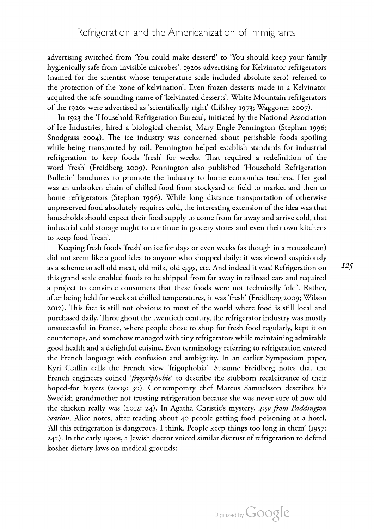advertising switched from 'You could make dessert!' to 'You should keep your family hygienically safe from invisible microbes'. 1920s advertising for Kelvinator refrigerators (named for the scientist whose temperature scale included absolute zero) referred to the protection of the 'zone of kelvination'. Even frozen desserts made in a Kelvinator acquired the safe-sounding name of 'kelvinated desserts'. White Mountain refrigerators of the 1920s were advertised as 'scientifically right' (Lifshey 1973; Waggoner 2007).

In 1923 the 'Household Refrigeration Bureau', initiated by the National Association of Ice Industries, hired a biological chemist, Mary Engle Pennington (Stephan 1996; Snodgrass 2004). The ice industry was concerned about perishable foods spoiling while being transported by rail. Pennington helped establish standards for industrial refrigeration to keep foods 'fresh' for weeks. That required a redefinition of the word 'fresh' (Freidberg 2009). Pennington also published 'Household Refrigeration Bulletin' brochures to promote the industry to home economics teachers. Her goal was an unbroken chain of chilled food from stockyard or field to market and then to home refrigerators (Stephan 1996). While long distance transportation of otherwise unpreserved food absolutely requires cold, the interesting extension of the idea was that households should expect their food supply to come from far away and arrive cold, that industrial cold storage ought to continue in grocery stores and even their own kitchens to keep food 'fresh'.

Keeping fresh foods 'fresh' on ice for days or even weeks (as though in <sup>a</sup> mausoleum) did not seem like a good idea to anyone who shopped daily: it was viewed suspiciously as <sup>a</sup> scheme to sell old meat, old milk, old eggs, etc. And indeed it was! Refrigeration on this grand scale enabled foods to be shipped from far away in railroad cars and required a project to convince consumers that these foods were not technically 'old'. Rather, after being held for weeks at chilled temperatures, it was 'fresh' (Freidberg 2009; Wilson 2012). This fact is still not obvious to most of the world where food is still local and purchased daily. Throughout the twentieth century, the refrigerator industry was mostly unsuccessful in France, where people chose to shop for fresh food regularly, kept it on countertops, and somehow managed with tiny refrigerators while maintaining admirable good health and a delightful cuisine. Even terminology referring to refrigeration entered the French language with confusion and ambiguity. In an earlier Symposium paper, Kyri Claflin calls the French view 'frigophobia'. Susanne Freidberg notes that the French engineers coined '*frigoriphobie*' to describe the stubborn recalcitrance of their hoped-for buyers (2009: 30). Contemporary chef Marcus Samuelsson describes his Swedish grandmother not trusting refrigeration because she was never sure of how old the chicken really was (2012: 24). In Agatha Christie's mystery, 4:50 from Paddington Station, Alice notes, after reading about 40 people getting food poisoning at a hotel, 'All this refrigeration is dangerous, I think. People keep things too long in them' (1957:  $242$ ). In the early 1900s, a Jewish doctor voiced similar distrust of refrigeration to defend kosher dietary laws on medical grounds: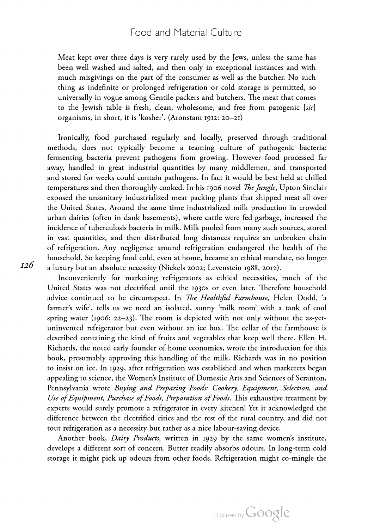#### Food and Material Culture

Meat kept over three days is very rarely used by the Jews, unless the same has been well washed and salted, and then only in exceptional instances and with much misgivings on the part of the consumer as well as the butcher. No such thing as indefinite or prolonged refrigeration or cold storage is permitted, so universally in vogue among Gentile packers and butchers. The meat that comes to the Jewish table is fresh, clean, wholesome, and free from patogenic [sic] organisms, in short, it is 'kosher'. (Aronstam  $1912$ : 20-21)

Ironically, food purchased regularly and locally, preserved through traditional methods, does not typically become <sup>a</sup> teaming culture of pathogenic bacteria: fermenting bacteria prevent pathogens from growing. However food processed far away, handled in great industrial quantities by many middlemen, and transported and stored for weeks could contain pathogens. In fact it would be best held at chilled temperatures and then thoroughly cooked. In his 1906 novel *The Jungle*, Upton Sinclair exposed the unsanitary industrialized meat packing plants that shipped meat all over the United States. Around the same time industrialized milk production in crowded urban dairies (often in dank basements), where cattle were fed garbage, increased the incidence of tuberculosis bacteria in milk. Milk pooled from many such sources, stored in vast quantities, and then distributed long distances requires an unbroken chain of refrigeration. Any negligence around refrigeration endangered the health of the household. So keeping food cold, even at home, became an ethical mandate, no longer a luxury but an absolute necessity (Nickels 2002; Levenstein 1988, 2012).

Inconveniently for marketing refrigerators as ethical necessities, much of the United States was not electrified until the 1930s or even later. Therefore household advice continued to be circumspect. In The Healthful Farmhouse, Helen Dodd, 'a farmer's wife', tells us we need an isolated, sunny 'milk room' with <sup>a</sup> tank of cool spring water (1906:  $22-23$ ). The room is depicted with not only without the as-yetuninvented refrigerator but even without an ice box. The cellar of the farmhouse is described containing the kind of fruits and vegetables that keep well there. Ellen H. Richards, the noted early founder of home economics, wrote the introduction for this book, presumably approving this handling of the milk. Richards was in no position to insist on ice. In 1929, after refrigeration was established and when marketers began appealing to science, the Women's Institute of Domestic Arts and Sciences of Scranton, Pennsylvania wrote Buying and Preparing Foods: Cookery, Equipment, Selection, and Use of Equipment, Purchase of Foods, Preparation of Foods. This exhaustive treatment by experts would surely promote <sup>a</sup> refrigerator in every kitchen! Yet it acknowledged the difference between the electrified cities and the rest of the rural country, and did not tout refrigeration as a necessity but rather as a nice labour-saving device.

Another book, Dairy Products, written in 1929 by the same women's institute, develops a different sort of concern. Butter readily absorbs odours. In long-term cold storage it might pick up odours from other foods. Refrigeration might co-mingle the

126

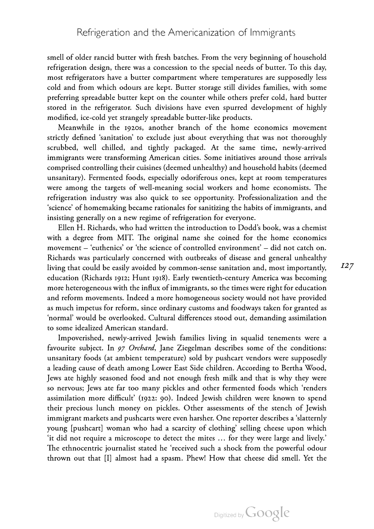smell of older rancid butter with fresh batches. From the very beginning of household refrigeration design, there was a concession to the special needs of butter. To this day, most refrigerators have a butter compartment where temperatures are supposedly less cold and from which odours are kept. Butter storage still divides families, with some preferring spreadable butter kept on the counter while others prefer cold, hard butter stored in the refrigerator. Such divisions have even spurred development of highly modified, ice-cold yet strangely spreadable butter-like products.

Meanwhile in the 1920s, another branch of the home economics movement strictly defined 'sanitation' to exclude just about everything that was not thoroughly scrubbed, well chilled, and tightly packaged. At the same time, newly-arrived immigrants were transforming American cities. Some initiatives around those arrivals comprised controlling their cuisines (deemed unhealthy) and household habits (deemed unsanitary). Fermented foods, especially odoriferous ones, kept at room temperatures were among the targets of well-meaning social workers and home economists. The refrigeration industry was also quick to see opportunity. Professionalization and the 'science' of homemaking became rationales for sanitizing the habits of immigrants, and insisting generally on <sup>a</sup> new regime of refrigeration for everyone.

Ellen H. Richards, who had written the introduction to Dodd's book, was a chemist with a degree from MIT. The original name she coined for the home economics movement – 'euthenics' or 'the science of controlled environment' – did not catch on. Richards was particularly concerned with outbreaks of disease and general unhealthy living that could be easily avoided by common-sense sanitation and, most importantly, education (Richards 1912; Hunt 1918). Early twentieth-century America was becoming more heterogeneous with the influx of immigrants, so the times were right for education and reform movements. Indeed <sup>a</sup> more homogeneous society would not have provided as much impetus for reform, since ordinary customs and foodways taken for granted as 'normal' would be overlooked. Cultural differences stood out, demanding assimilation to some idealized American standard.

Impoverished, newly-arrived Jewish families living in squalid tenements were a favourite subject. In 97 Orchard, Jane Ziegelman describes some of the conditions: unsanitary foods (at ambient temperature) sold by pushcart vendors were supposedly <sup>a</sup> leading cause of death among Lower East Side children. According to Bertha Wood, Jews ate highly seasoned food and not enough fresh milk and that is why they were so nervous; Jews ate far too many pickles and other fermented foods which 'renders assimilation more difficult' (1922: 90). Indeed Jewish children were known to spend their precious lunch money on pickles. Other assessments of the stench of Jewish immigrant markets and pushcarts were even harsher. One reporter describes <sup>a</sup> 'slatternly young [pushcart] woman who had <sup>a</sup> scarcity of clothing' selling cheese upon which 'it did not require <sup>a</sup> microscope to detect the mites … for they were large and lively.' The ethnocentric journalist stated he 'received such a shock from the powerful odour thrown out that [I] almost had <sup>a</sup> spasm. Phew! How that cheese did smell. Yet the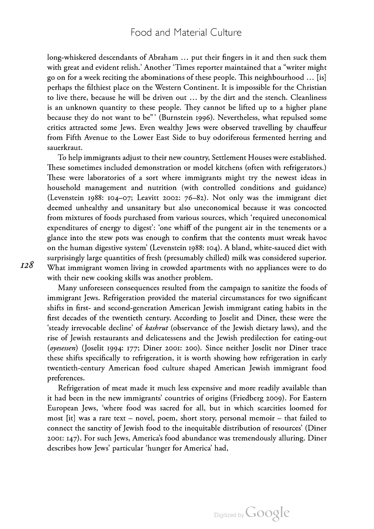long-whiskered descendants of Abraham … put their fingers in it and then suck them with great and evident relish.' Another 'Times reporter maintained that a "writer might go on for a week reciting the abominations of these people. This neighbourhood  $\dots$  [is] perhaps the filthiest place on the Western Continent. It is impossible for the Christian to live there, because he will be driven out … by the dirt and the stench. Cleanliness is an unknown quantity to these people. They cannot be lifted up to a higher plane because they do not want to be"' (Burnstein 1996). Nevertheless, what repulsed some critics attracted some Jews. Even wealthy Jews were observed travelling by chauffeur from Fifth Avenue to the Lower East Side to buy odoriferous fermented herring and sauerkraut.

To help immigrants adjust to their new country, Settlement Houses were established. These sometimes included demonstration or model kitchens (often with refrigerators.) These were laboratories of a sort where immigrants might try the newest ideas in household management and nutrition (with controlled conditions and guidance) (Levenstein 1988: 104-07; Leavitt 2002:  $76-82$ ). Not only was the immigrant diet deemed unhealthy and unsanitary but also uneconomical because it was concocted from mixtures of foods purchased from various sources, which 'required uneconomical expenditures of energy to digest': 'one whiff of the pungent air in the tenements or a glance into the stew pots was enough to confirm that the contents must wreak havoc<br>on the human digestive system' (Levenstein 1988: 104). A bland, white-sauced diet with surprisingly large quantities of fresh (presumably chilled) milk was considered superior. What immigrant women living in crowded apartments with no appliances were to do with their new cooking skills was another problem.

Many unforeseen consequences resulted from the campaign to sanitize the foods of immigrant Jews. Refrigeration provided the material circumstances for two significant shifts in first- and second-generation American Jewish immigrant eating habits in the first decades of the twentieth century. According to Joselit and Diner, these were the 'steady irrevocable decline' of kashrut (observance of the Jewish dietary laws), and the rise of Jewish restaurants and delicatessens and the Jewish predilection for eating-out (oyesessen) (Joselit 1994: 177; Diner 2001: 200). Since neither Joselit nor Diner trace these shifts specifically to refrigeration, it is worth showing how refrigeration in early twentieth-century American food culture shaped American Jewish immigrant food preferences.

Refrigeration of meat made it much less expensive and more readily available than it had been in the new immigrants' countries of origins (Friedberg 2009). For Eastern European Jews, 'where food was sacred for all, but in which scarcities loomed for most [it] was <sup>a</sup> rare text – novel, poem, short story, personal memoir – that failed to connect the sanctity of Jewish food to the inequitable distribution of resources' (Diner : ). For such Jews, America's food abundance was tremendously alluring. Diner describes how Jews' particular 'hunger for America' had,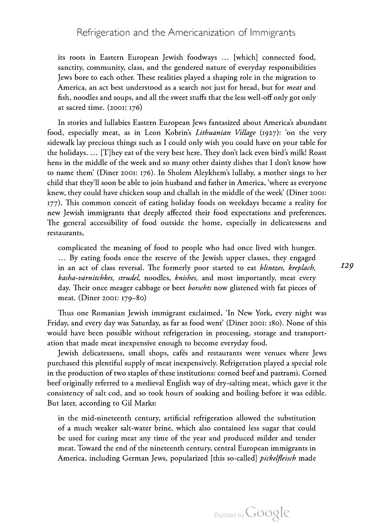### Refrigeration and the Americanization of Immigrants

its roots in Eastern European Jewish foodways … [which] connected food, sanctity, community, class, and the gendered nature of everyday responsibilities Jews bore to each other. These realities played a shaping role in the migration to America, an act best understood as a search not just for bread, but for *meat* and fish, noodles and soups, and all the sweet stuffs that the less well-off only got only at sacred time.  $(2001: 176)$ 

In stories and lullabies Eastern European Jews fantasized about America's abundant food, especially meat, as in Leon Kobrin's *Lithuanian Village* (1927): 'on the very sidewalk lay precious things such as <sup>I</sup> could only wish you could have on your table for the holidays.  $\ldots$  [T]hey eat of the very best here. They don't lack even bird's milk! Roast hens in the middle of the week and so many other dainty dishes that <sup>I</sup> don't know how to name them' (Diner 2001: 176). In Sholem Aleykhem's lullaby, a mother sings to her child that they'll soon be able to join husband and father in America, 'where as everyone knew, they could have chicken soup and challah in the middle of the week' (Diner 2001: 177). This common conceit of eating holiday foods on weekdays became a reality for new Jewish immigrants that deeply affected their food expectations and preferences. The general accessibility of food outside the home, especially in delicatessens and restaurants,

complicated the meaning of food to people who had once lived with hunger. … By eating foods once the reserve of the Jewish upper classes, they engaged in an act of class reversal. The formerly poor started to eat blintzes, kreplach, kasha-varnitchkes, strudel, noodles, knishes, and most importantly, meat every day. Their once meager cabbage or beet borschts now glistened with fat pieces of meat. (Diner 2001: 179-80)

Thus one Romanian Jewish immigrant exclaimed, 'In New York, every night was Friday, and every day was Saturday, as far as food went' (Diner 2001: 180). None of this would have been possible without refrigeration in processing, storage and transport ation that made meat inexpensive enough to become everyday food.

Jewish delicatessens, small shops, cafés and restaurants were venues where Jews purchased this plentiful supply of meat inexpensively. Refrigeration played a special role in the production of two staples of these institutions: corned beef and pastrami. Corned beef originally referred to a medieval English way of dry-salting meat, which gave it the consistency of salt cod, and so took hours of soaking and boiling before it was edible. But later, according to Gil Marks:

in the mid-nineteenth century, artificial refrigeration allowed the substitution of <sup>a</sup> much weaker salt-water brine, which also contained less sugar that could be used for curing meat any time of the year and produced milder and tender meat. Toward the end of the nineteenth century, central European immigrants in America, including German Jews, popularized [this so-called] *pickelfleisch* made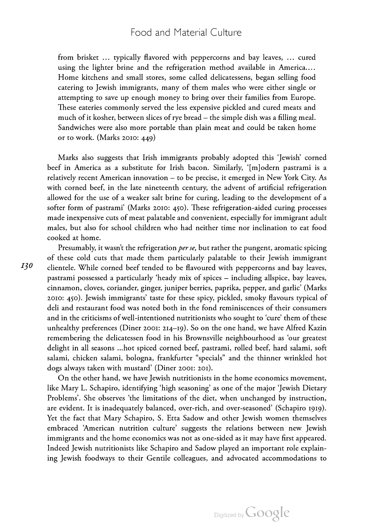### Food and Material Culture

from brisket … typically flavored with peppercorns and bay leaves, … cured using the lighter brine and the refrigeration method available in America.… Home kitchens and small stores, some called delicatessens, began selling food catering to Jewish immigrants, many of them males who were either single or attempting to save up enough money to bring over their families from Europe. These eateries commonly served the less expensive pickled and cured meats and much of it kosher, between slices of rye bread – the simple dish was <sup>a</sup> filling meal. Sandwiches were also more portable than plain meat and could be taken home or to work. (Marks 2010:  $449$ )

Marks also suggests that Irish immigrants probably adopted this 'Jewish' corned beef in America as a substitute for Irish bacon. Similarly, '[m]odern pastrami is a relatively recent American innovation – to be precise, it emerged in New York City. As with corned beef, in the late nineteenth century, the advent of artificial refrigeration allowed for the use of a weaker salt brine for curing, leading to the development of a softer form of pastrami' (Marks 2010: 450). These refrigeration-aided curing processes made inexpensive cuts of meat palatable and convenient, especially for immigrant adult males, but also for school children who had neither time nor inclination to eat food cooked at home.

Presumably, it wasn't the refrigeration *per se*, but rather the pungent, aromatic spicing of these cold cuts that made them particularly palatable to their Jewish immigrant clientele. While corned beef tended to be flavoured with peppercorns and bay leaves, pastrami possessed <sup>a</sup> particularly 'heady mix of spices – including allspice, bay leaves, cinnamon, cloves, coriander, ginger, juniper berries, paprika, pepper, and garlic' (Marks : ). Jewish immigrants' taste for these spicy, pickled, smoky flavours typical of deli and restaurant food was noted both in the fond reminiscences of their consumers and in the criticisms of well-intentioned nutritionists who sought to 'cure' them of these unhealthy preferences (Diner 2001: 214–19). So on the one hand, we have Alfred Kazin remembering the delicatessen food in his Brownsville neighbourhood as 'our greatest delight in all seasons ...hot spiced corned beef, pastrami, rolled beef, hard salami, soft salami, chicken salami, bologna, frankfurter "specials" and the thinner wrinkled hot dogs always taken with mustard' (Diner 2001: 201).

On the other hand, we have Jewish nutritionists in the home economics movement, like Mary L. Schapiro, identifying 'high seasoning' as one of the major 'Jewish Dietary Problems'. She observes 'the limitations of the diet, when unchanged by instruction, are evident. It is inadequately balanced, over-rich, and over-seasoned' (Schapiro 1919). Yet the fact that Mary Schapiro, S. Etta Sadow and other Jewish women themselves embraced 'American nutrition culture' suggests the relations between new Jewish immigrants and the home economics was not as one-sided as it may have first appeared. Indeed Jewish nutritionists like Schapiro and Sadow played an important role explain ing Jewish foodways to their Gentile colleagues, and advocated accommodations to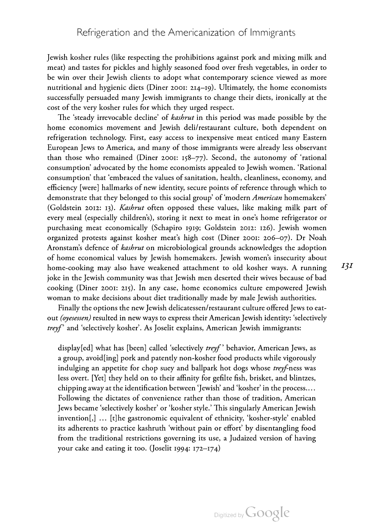Jewish kosher rules (like respecting the prohibitions against pork and mixing milk and meat) and tastes for pickles and highly seasoned food over fresh vegetables, in order to be win over their Jewish clients to adopt what contemporary science viewed as more nutritional and hygienic diets (Diner 2001:  $2I4-19$ ). Ultimately, the home economists successfully persuaded many Jewish immigrants to change their diets, ironically at the cost of the very kosher rules for which they urged respect.

The 'steady irrevocable decline' of kashrut in this period was made possible by the home economics movement and Jewish deli/restaurant culture, both dependent on refrigeration technology. First, easy access to inexpensive meat enticed many Eastern European Jews to America, and many of those immigrants were already less observant than those who remained (Diner 2001: 158-77). Second, the autonomy of 'rational consumption' advocated by the home economists appealed to Jewish women. 'Rational consumption' that 'embraced the values of sanitation, health, cleanliness, economy, and efficiency [were] hallmarks of new identity, secure points of reference through which to demonstrate that they belonged to this social group' of 'modern American homemakers' (Goldstein 2012: 13). Kashrut often opposed these values, like making milk part of every meal (especially children's), storing it next to meat in one's home refrigerator or purchasing meat economically (Schapiro 1919; Goldstein 2012: 126). Jewish women organized protests against kosher meat's high cost (Diner 2001: 206–07). Dr Noah Aronstam's defence of *kashrut* on microbiological grounds acknowledges the adoption of home economical values by Jewish homemakers. Jewish women's insecurity about home-cooking may also have weakened attachment to old kosher ways. A running joke in the Jewish community was that Jewish men deserted their wives because of bad cooking (Diner 2001: 215). In any case, home economics culture empowered Jewish woman to make decisions about diet traditionally made by male Jewish authorities.

Finally the options the new Jewish delicatessen/restaurant culture offered Jews to eat out (oyesessen) resulted in new ways to express their American Jewish identity: 'selectively treyf' and 'selectively kosher'. As Joselit explains, American Jewish immigrants:

display[ed] what has [been] called 'selectively treyf' behavior, American Jews, as a group, avoid[ing] pork and patently non-kosher food products while vigorously indulging an appetite for chop suey and ballpark hot dogs whose treyf-ness was less overt. [Yet] they held on to their affinity for gefilte fish, brisket, and blintzes, chipping away at the identification between 'Jewish' and 'kosher' in the process.… Following the dictates of convenience rather than those of tradition, American Jews became 'selectively kosher' or 'kosher style.' This singularly American Jewish invention[,] … [t]he gastronomic equivalent of ethnicity, 'kosher-style' enabled its adherents to practice kashruth 'without pain or effort' by disentangling food from the traditional restrictions governing its use, a Judaized version of having your cake and eating it too. (Joselit 1994:  $172-174$ )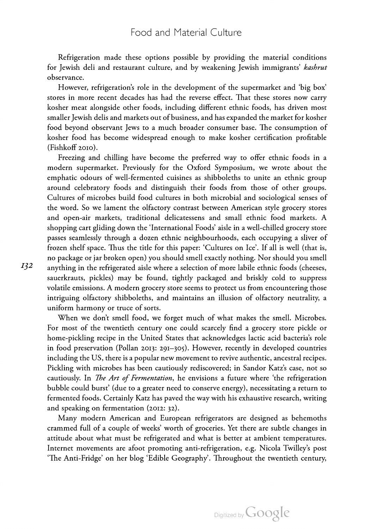Refrigeration made these options possible by providing the material conditions for Jewish deli and restaurant culture, and by weakening Jewish immigrants' kashrut observance.

However, refrigeration's role in the development of the supermarket and 'big box' stores in more recent decades has had the reverse effect. That these stores now carry kosher meat alongside other foods, including different ethnic foods, has driven most smaller Jewish delis and markets out of business, and has expanded the market for kosher food beyond observant Jews to a much broader consumer base. The consumption of kosher food has become widespread enough to make kosher certification profitable (Fishkoff 2010).

Freezing and chilling have become the preferred way to offer ethnic foods in <sup>a</sup> modern supermarket. Previously for the Oxford Symposium, we wrote about the emphatic odours of well-fermented cuisines as shibboleths to unite an ethnic group around celebratory foods and distinguish their foods from those of other groups. Cultures of microbes build food cultures in both microbial and sociological senses of the word. So we lament the olfactory contrast between American style grocery stores and open-air markets, traditional delicatessens and small ethnic food markets. A shopping cart gliding down the 'International Foods' aisle in <sup>a</sup> well-chilled grocery store passes seamlessly through a dozen ethnic neighbourhoods, each occupying a sliver of frozen shelf space. Thus the title for this paper: 'Cultures on Ice'. If all is well (that is, no package or jar broken open) you should smell exactly nothing. Nor should you smell anything in the refrigerated aisle where <sup>a</sup> selection of more labile ethnic foods (cheeses, sauerkrauts, pickles) may be found, tightly packaged and briskly cold to suppress volatile emissions. A modern grocery store seems to protect us from encountering those intriguing olfactory shibboleths, and maintains an illusion of olfactory neutrality, a uniform harmony or truce of sorts. When we don't smell food, we forget much of what makes the smell. Microbes.

For most of the twentieth century one could scarcely find a grocery store pickle or home-pickling recipe in the United States that acknowledges lactic acid bacteria's role in food preservation (Pollan 2013: 291-305). However, recently in developed countries including the US, there is <sup>a</sup> popular new movement to revive authentic, ancestral recipes. Pickling with microbes has been cautiously rediscovered; in Sandor Katz's case, not so cautiously. In *The Art of Fermentation*, he envisions a future where 'the refrigeration bubble could burst' (due to a greater need to conserve energy), necessitating a return to fermented foods. Certainly Katz has paved the way with his exhaustive research, writing and speaking on fermentation (2012: 32).

Many modern American and European refrigerators are designed as behemoths crammed full of <sup>a</sup> couple of weeks' worth of groceries. Yet there are subtle changes in attitude about what must be refrigerated and what is better at ambient temperatures. Internet movements are afoot promoting anti-refrigeration, e.g. Nicola Twilley's post<br>'The Anti-Fridge' on her blog 'Edible Geography'. Throughout the twentieth century,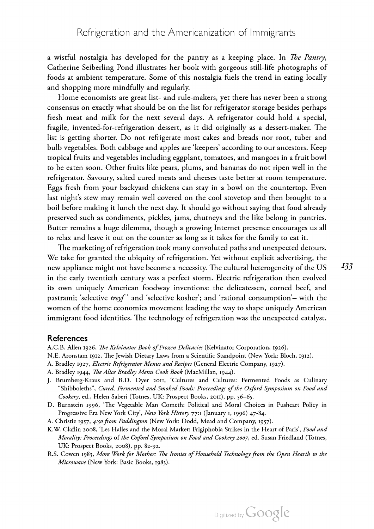a wistful nostalgia has developed for the pantry as a keeping place. In *The Pantry*, Catherine Seiberling Pond illustrates her book with gorgeous still-life photographs of foods at ambient temperature. Some of this nostalgia fuels the trend in eating locally and shopping more mindfully and regularly.

Home economists are great list- and rule-makers, yet there has never been <sup>a</sup> strong consensus on exactly what should be on the list for refrigerator storage besides perhaps fresh meat and milk for the next several days. A refrigerator could hold <sup>a</sup> special, fragile, invented-for-refrigeration dessert, as it did originally as a dessert-maker. The list is getting shorter. Do not refrigerate most cakes and breads nor root, tuber and bulb vegetables. Both cabbage and apples are 'keepers' according to our ancestors. Keep tropical fruits and vegetables including eggplant, tomatoes, and mangoes in a fruit bowl to be eaten soon. Other fruits like pears, plums, and bananas do not ripen well in the refrigerator. Savoury, salted cured meats and cheeses taste better at room temperature. Eggs fresh from your backyard chickens can stay in <sup>a</sup> bowl on the countertop. Even last night's stew may remain well covered on the cool stovetop and then brought to <sup>a</sup> boil before making it lunch the next day. It should go without saying that food already preserved such as condiments, pickles, jams, chutneys and the like belong in pantries. Butter remains a huge dilemma, though a growing Internet presence encourages us all to relax and leave it out on the counter as long as it takes for the family to eat it.

The marketing of refrigeration took many convoluted paths and unexpected detours. We take for granted the ubiquity of refrigeration. Yet without explicit advertising, the new appliance might not have become a necessity. The cultural heterogeneity of the US in the early twentieth century was a perfect storm. Electric refrigeration then evolved its own uniquely American foodway inventions: the delicatessen, corned beef, and pastrami; 'selective *treyf*' and 'selective kosher'; and 'rational consumption'– with the women of the home economics movement leading the way to shape uniquely American immigrant food identities. The technology of refrigeration was the unexpected catalyst.

#### **References**

- A.C.B. Allen 1926, The Kelvinator Book of Frozen Delicacies (Kelvinator Corporation, 1926).
- N.E. Aronstam 1912, The Jewish Dietary Laws from a Scientific Standpoint (New York: Bloch, 1912).
- A. Bradley 1927, Electric Refrigerator Menus and Recipes (General Electric Company, 1927).
- A. Bradley 1944, The Alice Bradley Menu Cook Book (MacMillan, 1944).
- J. Brumberg-Kraus and B.D. Dyer 2011, 'Cultures and Cultures: Fermented Foods as Culinary "Shibboleths", Cured, Fermented and Smoked Foods: Proceedings of the Oxford Symposium on Food and Cookery, ed., Helen Saberi (Totnes, UK: Prospect Books, 2011), pp. 56–65.<br>D. Burnstein 1996, 'The Vegetable Man Cometh: Political and Moral Choices in Pushcart Policy in
- Progressive Era New York City', New York History 77:1 (January 1, 1996) 47-84.
- A. Christie 1957, 4:50 from Paddington (New York: Dodd, Mead and Company, 1957).
- K.W. Claflin 2008, 'Les Halles and the Moral Market: Frigiphobia Strikes in the Heart of Paris', Food and Morality: Proceedings of the Oxford Symposium on Food and Cookery 2007, ed. Susan Friedland (Totnes, UK: Prospect Books, 2008), pp. 82-92.
- R.S. Cowen 1983, More Work for Mother: The Ironies of Household Technology from the Open Hearth to the Microwave (New York: Basic Books, 1983).